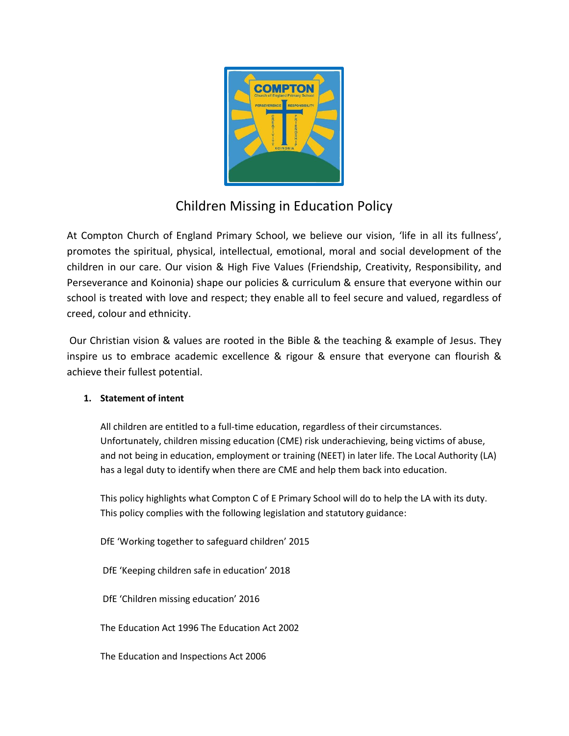

# Children Missing in Education Policy

At Compton Church of England Primary School, we believe our vision, 'life in all its fullness', promotes the spiritual, physical, intellectual, emotional, moral and social development of the children in our care. Our vision & High Five Values (Friendship, Creativity, Responsibility, and Perseverance and Koinonia) shape our policies & curriculum & ensure that everyone within our school is treated with love and respect; they enable all to feel secure and valued, regardless of creed, colour and ethnicity.

Our Christian vision & values are rooted in the Bible & the teaching & example of Jesus. They inspire us to embrace academic excellence & rigour & ensure that everyone can flourish & achieve their fullest potential.

## **1. Statement of intent**

All children are entitled to a full-time education, regardless of their circumstances. Unfortunately, children missing education (CME) risk underachieving, being victims of abuse, and not being in education, employment or training (NEET) in later life. The Local Authority (LA) has a legal duty to identify when there are CME and help them back into education.

This policy highlights what Compton C of E Primary School will do to help the LA with its duty. This policy complies with the following legislation and statutory guidance:

DfE 'Working together to safeguard children' 2015

DfE 'Keeping children safe in education' 2018

DfE 'Children missing education' 2016

The Education Act 1996 The Education Act 2002

The Education and Inspections Act 2006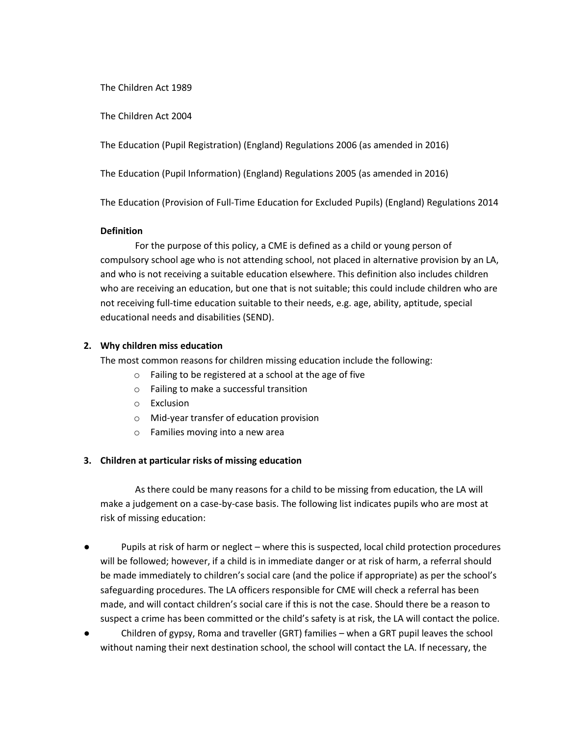The Children Act 1989

The Children Act 2004

The Education (Pupil Registration) (England) Regulations 2006 (as amended in 2016)

The Education (Pupil Information) (England) Regulations 2005 (as amended in 2016)

The Education (Provision of Full-Time Education for Excluded Pupils) (England) Regulations 2014

#### **Definition**

 For the purpose of this policy, a CME is defined as a child or young person of compulsory school age who is not attending school, not placed in alternative provision by an LA, and who is not receiving a suitable education elsewhere. This definition also includes children who are receiving an education, but one that is not suitable; this could include children who are not receiving full-time education suitable to their needs, e.g. age, ability, aptitude, special educational needs and disabilities (SEND).

### **2. Why children miss education**

The most common reasons for children missing education include the following:

- o Failing to be registered at a school at the age of five
- o Failing to make a successful transition
- o Exclusion
- o Mid-year transfer of education provision
- o Families moving into a new area

## **3. Children at particular risks of missing education**

 As there could be many reasons for a child to be missing from education, the LA will make a judgement on a case-by-case basis. The following list indicates pupils who are most at risk of missing education:

- Pupils at risk of harm or neglect where this is suspected, local child protection procedures will be followed; however, if a child is in immediate danger or at risk of harm, a referral should be made immediately to children's social care (and the police if appropriate) as per the school's safeguarding procedures. The LA officers responsible for CME will check a referral has been made, and will contact children's social care if this is not the case. Should there be a reason to suspect a crime has been committed or the child's safety is at risk, the LA will contact the police.
- Children of gypsy, Roma and traveller (GRT) families when a GRT pupil leaves the school without naming their next destination school, the school will contact the LA. If necessary, the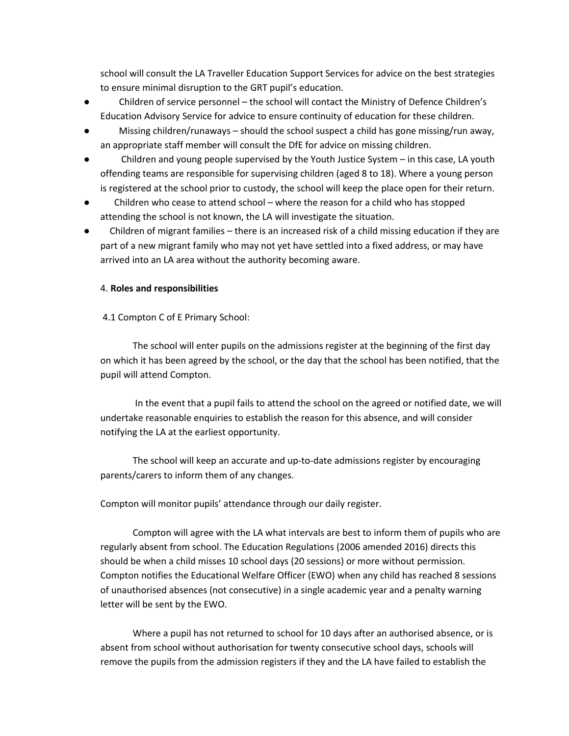school will consult the LA Traveller Education Support Services for advice on the best strategies to ensure minimal disruption to the GRT pupil's education.

- Children of service personnel the school will contact the Ministry of Defence Children's Education Advisory Service for advice to ensure continuity of education for these children.
- Missing children/runaways should the school suspect a child has gone missing/run away, an appropriate staff member will consult the DfE for advice on missing children.
- Children and young people supervised by the Youth Justice System  $-$  in this case, LA youth offending teams are responsible for supervising children (aged 8 to 18). Where a young person is registered at the school prior to custody, the school will keep the place open for their return.
- Children who cease to attend school where the reason for a child who has stopped attending the school is not known, the LA will investigate the situation.
- Children of migrant families there is an increased risk of a child missing education if they are part of a new migrant family who may not yet have settled into a fixed address, or may have arrived into an LA area without the authority becoming aware.

#### 4. **Roles and responsibilities**

### 4.1 Compton C of E Primary School:

 The school will enter pupils on the admissions register at the beginning of the first day on which it has been agreed by the school, or the day that the school has been notified, that the pupil will attend Compton.

 In the event that a pupil fails to attend the school on the agreed or notified date, we will undertake reasonable enquiries to establish the reason for this absence, and will consider notifying the LA at the earliest opportunity.

 The school will keep an accurate and up-to-date admissions register by encouraging parents/carers to inform them of any changes.

Compton will monitor pupils' attendance through our daily register.

 Compton will agree with the LA what intervals are best to inform them of pupils who are regularly absent from school. The Education Regulations (2006 amended 2016) directs this should be when a child misses 10 school days (20 sessions) or more without permission. Compton notifies the Educational Welfare Officer (EWO) when any child has reached 8 sessions of unauthorised absences (not consecutive) in a single academic year and a penalty warning letter will be sent by the EWO.

 Where a pupil has not returned to school for 10 days after an authorised absence, or is absent from school without authorisation for twenty consecutive school days, schools will remove the pupils from the admission registers if they and the LA have failed to establish the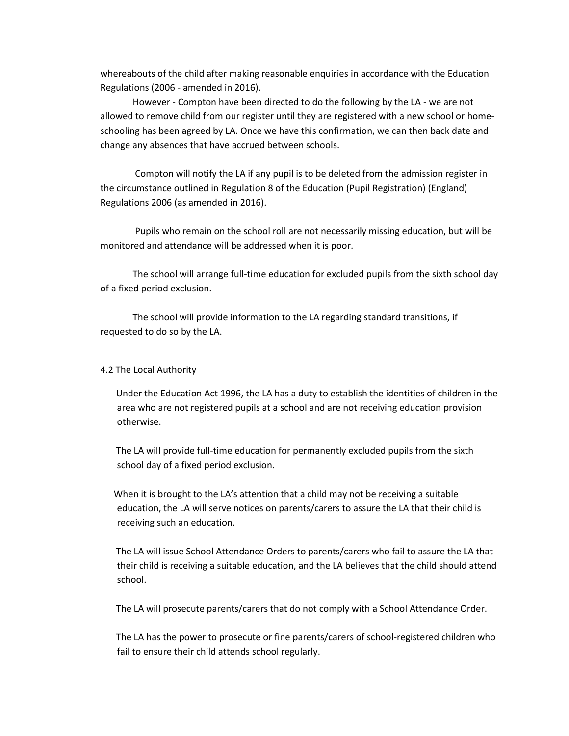whereabouts of the child after making reasonable enquiries in accordance with the Education Regulations (2006 - amended in 2016).

 However - Compton have been directed to do the following by the LA - we are not allowed to remove child from our register until they are registered with a new school or homeschooling has been agreed by LA. Once we have this confirmation, we can then back date and change any absences that have accrued between schools.

 Compton will notify the LA if any pupil is to be deleted from the admission register in the circumstance outlined in Regulation 8 of the Education (Pupil Registration) (England) Regulations 2006 (as amended in 2016).

 Pupils who remain on the school roll are not necessarily missing education, but will be monitored and attendance will be addressed when it is poor.

 The school will arrange full-time education for excluded pupils from the sixth school day of a fixed period exclusion.

 The school will provide information to the LA regarding standard transitions, if requested to do so by the LA.

#### 4.2 The Local Authority

 Under the Education Act 1996, the LA has a duty to establish the identities of children in the area who are not registered pupils at a school and are not receiving education provision otherwise.

 The LA will provide full-time education for permanently excluded pupils from the sixth school day of a fixed period exclusion.

 When it is brought to the LA's attention that a child may not be receiving a suitable education, the LA will serve notices on parents/carers to assure the LA that their child is receiving such an education.

 The LA will issue School Attendance Orders to parents/carers who fail to assure the LA that their child is receiving a suitable education, and the LA believes that the child should attend school.

The LA will prosecute parents/carers that do not comply with a School Attendance Order.

 The LA has the power to prosecute or fine parents/carers of school-registered children who fail to ensure their child attends school regularly.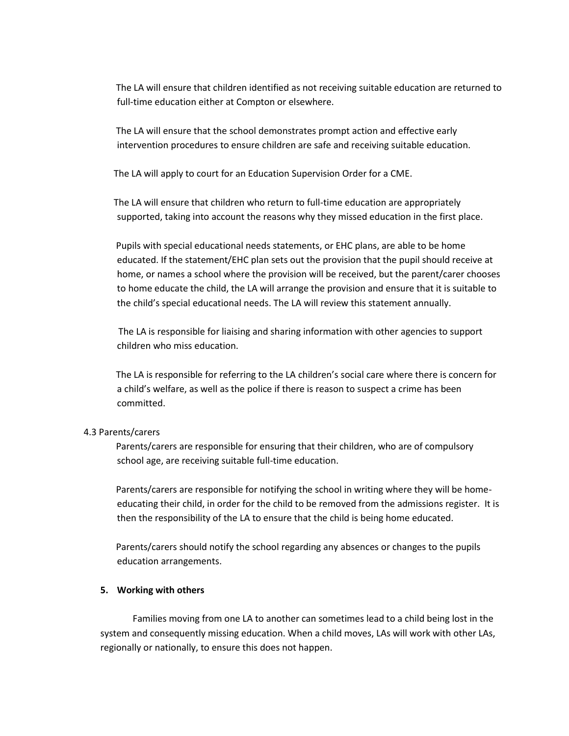The LA will ensure that children identified as not receiving suitable education are returned to full-time education either at Compton or elsewhere.

 The LA will ensure that the school demonstrates prompt action and effective early intervention procedures to ensure children are safe and receiving suitable education.

The LA will apply to court for an Education Supervision Order for a CME.

 The LA will ensure that children who return to full-time education are appropriately supported, taking into account the reasons why they missed education in the first place.

 Pupils with special educational needs statements, or EHC plans, are able to be home educated. If the statement/EHC plan sets out the provision that the pupil should receive at home, or names a school where the provision will be received, but the parent/carer chooses to home educate the child, the LA will arrange the provision and ensure that it is suitable to the child's special educational needs. The LA will review this statement annually.

 The LA is responsible for liaising and sharing information with other agencies to support children who miss education.

 The LA is responsible for referring to the LA children's social care where there is concern for a child's welfare, as well as the police if there is reason to suspect a crime has been committed.

#### 4.3 Parents/carers

 Parents/carers are responsible for ensuring that their children, who are of compulsory school age, are receiving suitable full-time education.

 Parents/carers are responsible for notifying the school in writing where they will be homeeducating their child, in order for the child to be removed from the admissions register. It is then the responsibility of the LA to ensure that the child is being home educated.

 Parents/carers should notify the school regarding any absences or changes to the pupils education arrangements.

#### **5. Working with others**

 Families moving from one LA to another can sometimes lead to a child being lost in the system and consequently missing education. When a child moves, LAs will work with other LAs, regionally or nationally, to ensure this does not happen.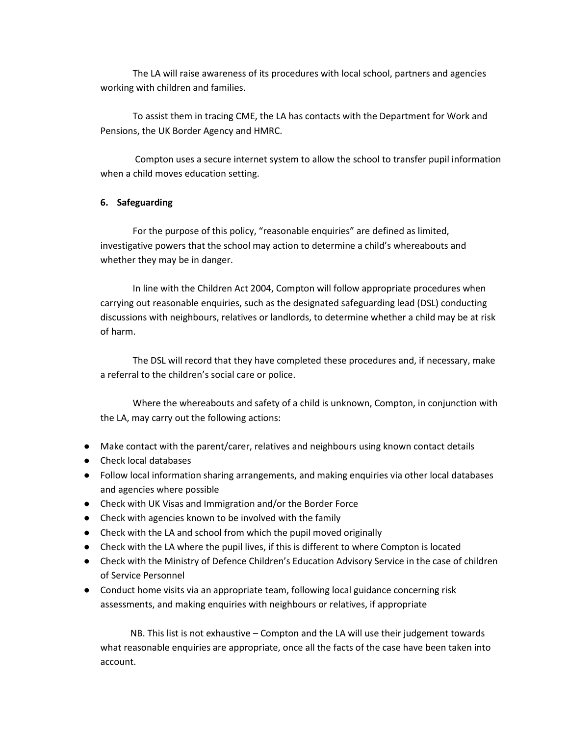The LA will raise awareness of its procedures with local school, partners and agencies working with children and families.

 To assist them in tracing CME, the LA has contacts with the Department for Work and Pensions, the UK Border Agency and HMRC.

 Compton uses a secure internet system to allow the school to transfer pupil information when a child moves education setting.

#### **6. Safeguarding**

 For the purpose of this policy, "reasonable enquiries" are defined as limited, investigative powers that the school may action to determine a child's whereabouts and whether they may be in danger.

 In line with the Children Act 2004, Compton will follow appropriate procedures when carrying out reasonable enquiries, such as the designated safeguarding lead (DSL) conducting discussions with neighbours, relatives or landlords, to determine whether a child may be at risk of harm.

 The DSL will record that they have completed these procedures and, if necessary, make a referral to the children's social care or police.

 Where the whereabouts and safety of a child is unknown, Compton, in conjunction with the LA, may carry out the following actions:

- Make contact with the parent/carer, relatives and neighbours using known contact details
- Check local databases
- Follow local information sharing arrangements, and making enquiries via other local databases and agencies where possible
- Check with UK Visas and Immigration and/or the Border Force
- Check with agencies known to be involved with the family
- Check with the LA and school from which the pupil moved originally
- Check with the LA where the pupil lives, if this is different to where Compton is located
- Check with the Ministry of Defence Children's Education Advisory Service in the case of children of Service Personnel
- Conduct home visits via an appropriate team, following local guidance concerning risk assessments, and making enquiries with neighbours or relatives, if appropriate

 NB. This list is not exhaustive – Compton and the LA will use their judgement towards what reasonable enquiries are appropriate, once all the facts of the case have been taken into account.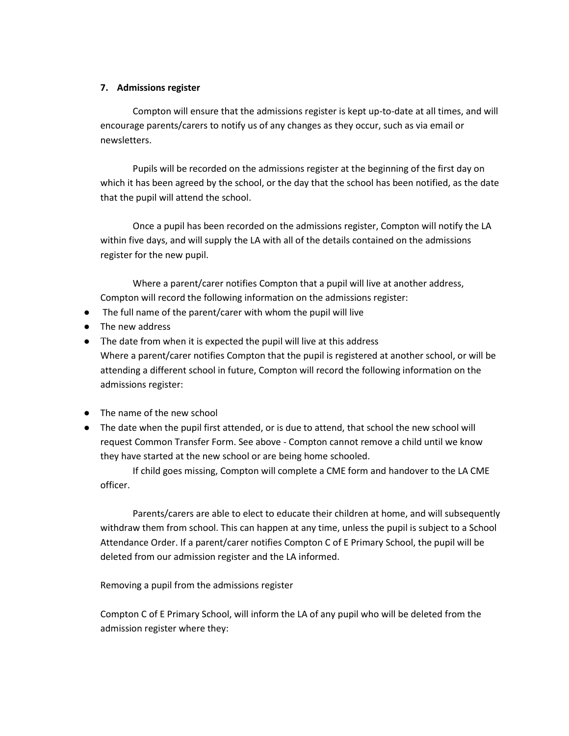#### **7. Admissions register**

 Compton will ensure that the admissions register is kept up-to-date at all times, and will encourage parents/carers to notify us of any changes as they occur, such as via email or newsletters.

 Pupils will be recorded on the admissions register at the beginning of the first day on which it has been agreed by the school, or the day that the school has been notified, as the date that the pupil will attend the school.

 Once a pupil has been recorded on the admissions register, Compton will notify the LA within five days, and will supply the LA with all of the details contained on the admissions register for the new pupil.

 Where a parent/carer notifies Compton that a pupil will live at another address, Compton will record the following information on the admissions register:

- The full name of the parent/carer with whom the pupil will live
- The new address
- The date from when it is expected the pupil will live at this address Where a parent/carer notifies Compton that the pupil is registered at another school, or will be attending a different school in future, Compton will record the following information on the admissions register:
- The name of the new school
- The date when the pupil first attended, or is due to attend, that school the new school will request Common Transfer Form. See above - Compton cannot remove a child until we know they have started at the new school or are being home schooled.

 If child goes missing, Compton will complete a CME form and handover to the LA CME officer.

 Parents/carers are able to elect to educate their children at home, and will subsequently withdraw them from school. This can happen at any time, unless the pupil is subject to a School Attendance Order. If a parent/carer notifies Compton C of E Primary School, the pupil will be deleted from our admission register and the LA informed.

Removing a pupil from the admissions register

Compton C of E Primary School, will inform the LA of any pupil who will be deleted from the admission register where they: